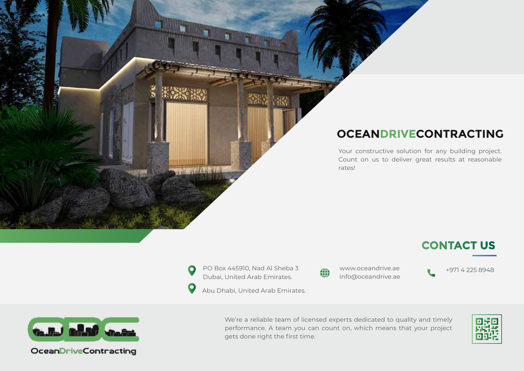## **OCEANDRIVECONTRACTING**

Your constructive solution for any building project. Count on us to deliver great results at reasonable rates!

## **CONTACT US**

PO Box 445910, Nad Al Sheba 3 Dubai, United Arab Emirates.

 $\mathbf{O}$ 

info@oceandrive.ae

www.oceandrive.ae +971 4 225 8948

Abu Dhabi, United Arab Emirates.



**GAUGH BIRDER STARTED** 

OceanDriveContracting

We're a reliable team of licensed experts dedicated to quality and timely performance. A team you can count on, which means that your project gets done right the first time.

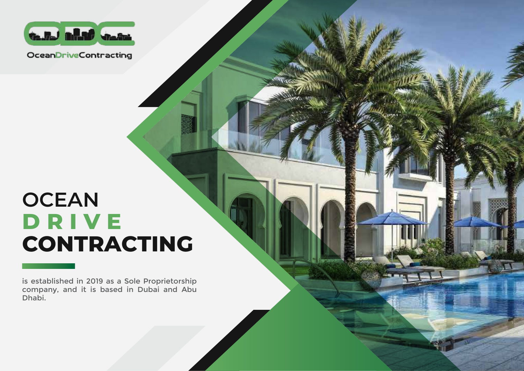

OceanDriveContracting

## **OCEAN DRIVE CONTRACTING**

is established in 2019 as a Sole Proprietorship company, and it is based in Dubai and Abu Dhabi.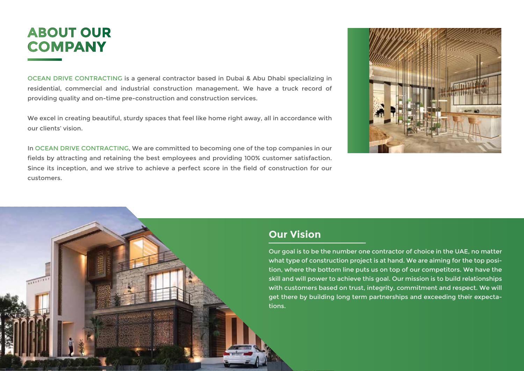## **ABOUT OUR COMPANY**

OCEAN DRIVE CONTRACTING is a general contractor based in Dubai & Abu Dhabi specializing in residential, commercial and industrial construction management. We have a truck record of providing quality and on-time pre-construction and construction services.

We excel in creating beautiful, sturdy spaces that feel like home right away, all in accordance with our clients' vision.

In OCEAN DRIVE CONTRACTING, We are committed to becoming one of the top companies in our fields by attracting and retaining the best employees and providing 100% customer satisfaction. Since its inception, and we strive to achieve a perfect score in the field of construction for our customers.



#### **Our Vision**

Our goal is to be the number one contractor of choice in the UAE, no matter what type of construction project is at hand. We are aiming for the top position, where the bottom line puts us on top of our competitors. We have the skill and will power to achieve this goal. Our mission is to build relationships with customers based on trust, integrity, commitment and respect. We will get there by building long term partnerships and exceeding their expectations.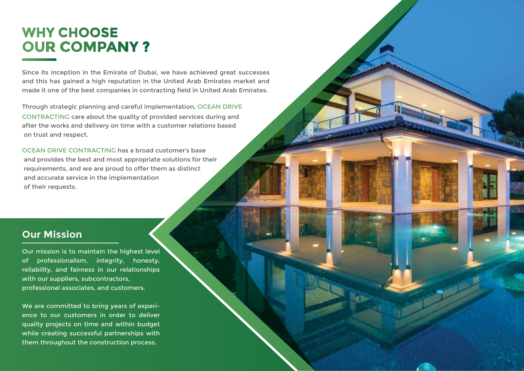## **WHY CHOOSE OUR COMPANY ?**

Since its inception in the Emirate of Dubai, we have achieved great successes and this has gained a high reputation in the United Arab Emirates market and made it one of the best companies in contracting field in United Arab Emirates.

Through strategic planning and careful implementation, OCEAN DRIVE CONTRACTING care about the quality of provided services during and after the works and delivery on time with a customer relations based on trust and respect.

OCEAN DRIVE CONTRACTING has a broad customer's base and provides the best and most appropriate solutions for their requirements, and we are proud to offer them as distinct and accurate service in the implementation of their requests.

### **Our Mission**

Our mission is to maintain the highest level of professionalism, integrity, honesty, reliability, and fairness in our relationships with our suppliers, subcontractors, professional associates, and customers.

We are committed to bring years of experience to our customers in order to deliver quality projects on time and within budget while creating successful partnerships with them throughout the construction process.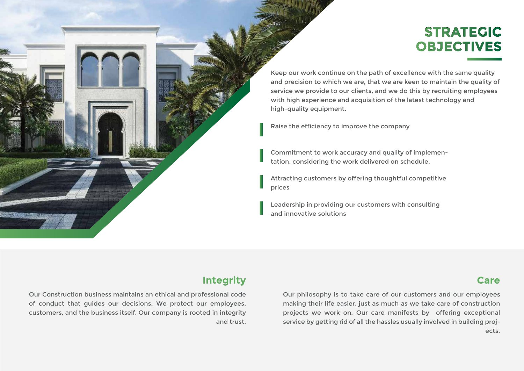## **STRATEGIC OBJECTIVES**

Keep our work continue on the path of excellence with the same quality and precision to which we are, that we are keen to maintain the quality of service we provide to our clients, and we do this by recruiting employees with high experience and acquisition of the latest technology and high-quality equipment.

Raise the efficiency to improve the company

Commitment to work accuracy and quality of implementation, considering the work delivered on schedule.

Attracting customers by offering thoughtful competitive prices

Leadership in providing our customers with consulting and innovative solutions

#### **Integrity**

Our Construction business maintains an ethical and professional code of conduct that guides our decisions. We protect our employees, customers, and the business itself. Our company is rooted in integrity and trust.

Our philosophy is to take care of our customers and our employees making their life easier, just as much as we take care of construction projects we work on. Our care manifests by offering exceptional service by getting rid of all the hassles usually involved in building projects.

#### **Care**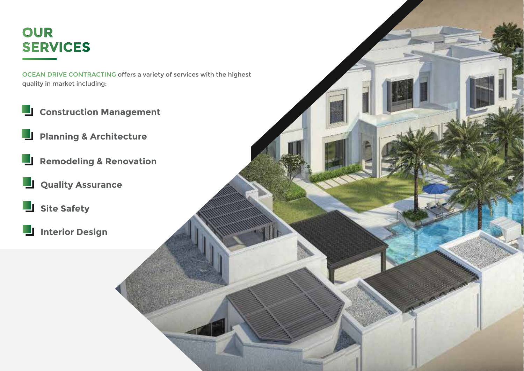## **OUR SERVICES**

OCEAN DRIVE CONTRACTING offers a variety of services with the highest quality in market including:

- **L** Construction Management
- **Planning & Architecture** 
	- **Remodeling & Renovation**
- **L** Quality Assurance
- **Site Safety**
- **Interior Design**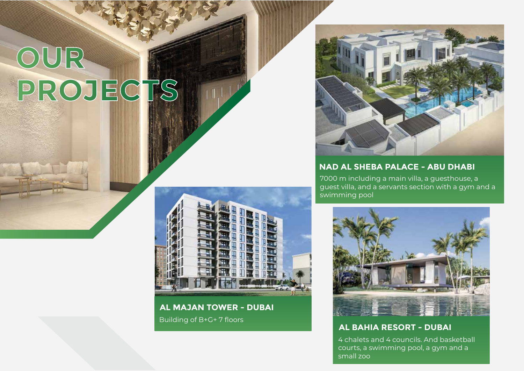# **OUR PROJECTS**



 $\mathbb{H}^1_1 \cup \mathbb{P}^1_2$ 

**AL MAJAN TOWER - DUBAI** Building of B+G+ 7 floors



#### **NAD AL SHEBA PALACE - ABU DHABI**

7000 m including a main villa, a guesthouse, a guest villa, and a servants section with a gym and a swimming pool



**AL BAHIA RESORT - DUBAI**

4 chalets and 4 councils. And basketball courts, a swimming pool, a gym and a small zoo